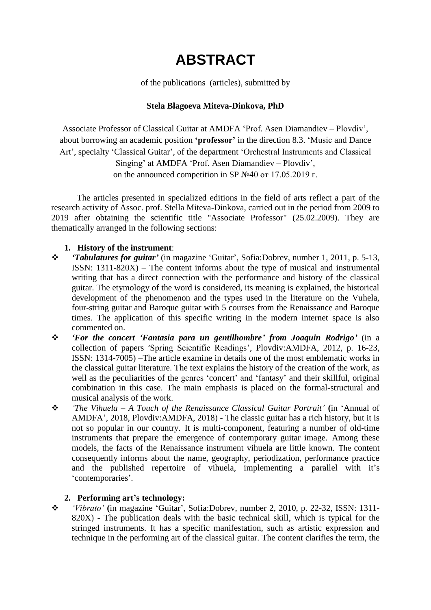# **ABSTRACT**

of the publications (articles), submitted by

## **Stela Blagoeva Miteva-Dinkova, PhD**

Associate Professor of Classical Guitar at AMDFA "Prof. Asen Diamandiev – Plovdiv", about borrowing an academic position **'professor'** in the direction 8.3. "Music and Dance Art', specialty 'Classical Guitar', of the department 'Orchestral Instruments and Classical

Singing' at AMDFA 'Prof. Asen Diamandiev – Plovdiv', on the announced competition in SP  $N<sub>2</sub>40$  or 17.05.2019 г.

The articles presented in specialized editions in the field of arts reflect a part of the research activity of Assoc. prof. Stella Miteva-Dinkova, carried out in the period from 2009 to 2019 after obtaining the scientific title "Associate Professor" (25.02.2009). They are thematically arranged in the following sections:

#### **1. History of the instrument**:

- *'Tabulatures for guitar'* (in magazine "Guitar", Sofia:Dobrev, number 1, 2011, p. 5-13, ISSN: 1311-820X) – The content informs about the type of musical and instrumental writing that has a direct connection with the performance and history of the classical guitar. The etymology of the word is considered, its meaning is explained, the historical development of the phenomenon and the types used in the literature on the Vuhela, four-string guitar and Baroque guitar with 5 courses from the Renaissance and Baroque times. The application of this specific writing in the modern internet space is also commented on.
- *'For the concert 'Fantasia para un gentilhombre' from Joaquin Rodrigo'* (in a collection of papers 'Spring Scientific Readings', Plovdiv:AMDFA, 2012, p. 16-23, ISSN: 1314-7005) –The article examine in details one of the most emblematic works in the classical guitar literature. The text explains the history of the creation of the work, as well as the peculiarities of the genres 'concert' and 'fantasy' and their skillful, original combination in this case. The main emphasis is placed on the formal-structural and musical analysis of the work.
- *'The Vihuela – A Touch of the Renaissance Classical Guitar Portrait'* **(**in "Annual of AMDFA", 2018, Plovdiv:AMDFA, 2018) - The classic guitar has a rich history, but it is not so popular in our country. It is multi-component, featuring a number of old-time instruments that prepare the emergence of contemporary guitar image. Among these models, the facts of the Renaissance instrument vihuela are little known. The content consequently informs about the name, geography, periodization, performance practice and the published repertoire of vihuela, implementing a parallel with it's 'contemporaries'.

#### **2. Performing art's technology:**

 *'Vibrato'* **(**in magazine "Guitar", Sofia:Dobrev, number 2, 2010, p. 22-32, ISSN: 1311- 820X) - The publication deals with the basic technical skill, which is typical for the stringed instruments. It has a specific manifestation, such as artistic expression and technique in the performing art of the classical guitar. The content clarifies the term, the